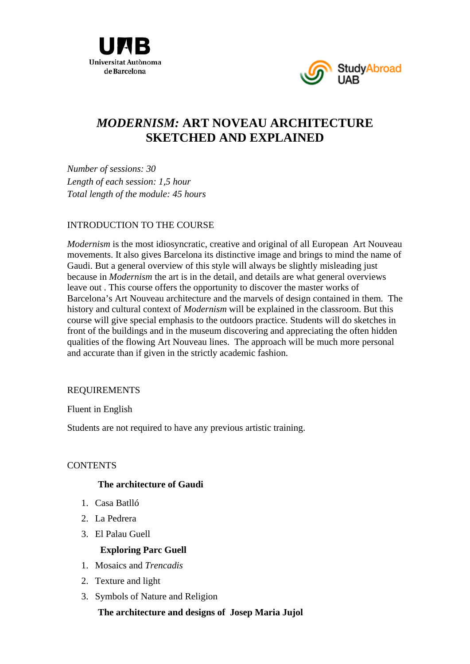



# *MODERNISM:* **ART NOVEAU ARCHITECTURE SKETCHED AND EXPLAINED**

*Number of sessions: 30 Length of each session: 1,5 hour Total length of the module: 45 hours* 

### INTRODUCTION TO THE COURSE

*Modernism* is the most idiosyncratic, creative and original of all European Art Nouveau movements. It also gives Barcelona its distinctive image and brings to mind the name of Gaudi. But a general overview of this style will always be slightly misleading just because in *Modernism* the art is in the detail, and details are what general overviews leave out . This course offers the opportunity to discover the master works of Barcelona's Art Nouveau architecture and the marvels of design contained in them. The history and cultural context of *Modernism* will be explained in the classroom. But this course will give special emphasis to the outdoors practice. Students will do sketches in front of the buildings and in the museum discovering and appreciating the often hidden qualities of the flowing Art Nouveau lines. The approach will be much more personal and accurate than if given in the strictly academic fashion.

## REQUIREMENTS

Fluent in English

Students are not required to have any previous artistic training.

## **CONTENTS**

#### **The architecture of Gaudi**

- 1. Casa Batlló
- 2. La Pedrera
- 3. El Palau Guell

## **Exploring Parc Guell**

- 1. Mosaics and *Trencadis*
- 2. Texture and light
- 3. Symbols of Nature and Religion

 **The architecture and designs of Josep Maria Jujol**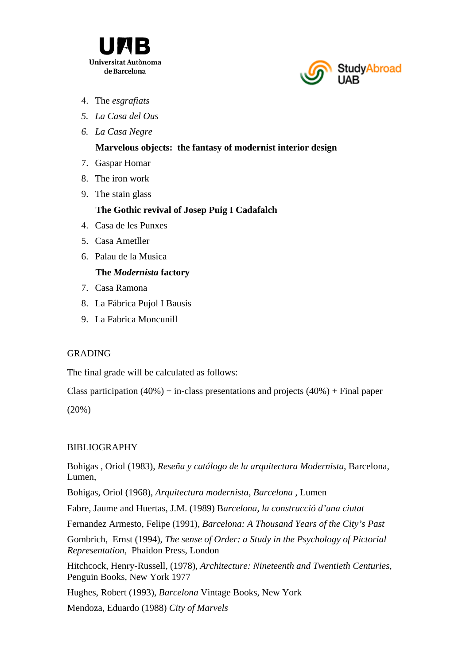



- 4. The *esgrafiats*
- *5. La Casa del Ous*
- *6. La Casa Negre*

### **Marvelous objects: the fantasy of modernist interior design**

- 7. Gaspar Homar
- 8. The iron work
- 9. The stain glass

## **The Gothic revival of Josep Puig I Cadafalch**

- 4. Casa de les Punxes
- 5. Casa Ametller
- 6. Palau de la Musica

## **The** *Modernista* **factory**

- 7. Casa Ramona
- 8. La Fábrica Pujol I Bausis
- 9. La Fabrica Moncunill

## GRADING

The final grade will be calculated as follows:

Class participation  $(40%)$  + in-class presentations and projects  $(40%)$  + Final paper

(20%)

## BIBLIOGRAPHY

Bohigas , Oriol (1983), *Reseña y catálogo de la arquitectura Modernista*, Barcelona, Lumen,

Bohigas, Oriol (1968), *Arquitectura modernista, Barcelona ,* Lumen

Fabre, Jaume and Huertas, J.M. (1989) B*arcelona, la construcció d'una ciutat*

Fernandez Armesto, Felipe (1991), *Barcelona: A Thousand Years of the City's Past*

Gombrich, Ernst (1994), *The sense of Order: a Study in the Psychology of Pictorial Representation,* Phaidon Press, London

Hitchcock, Henry-Russell, (1978), *Architecture: Nineteenth and Twentieth Centuries*, Penguin Books, New York 1977

Hughes, Robert (1993), *Barcelona* Vintage Books, New York

Mendoza, Eduardo (1988) *City of Marvels*